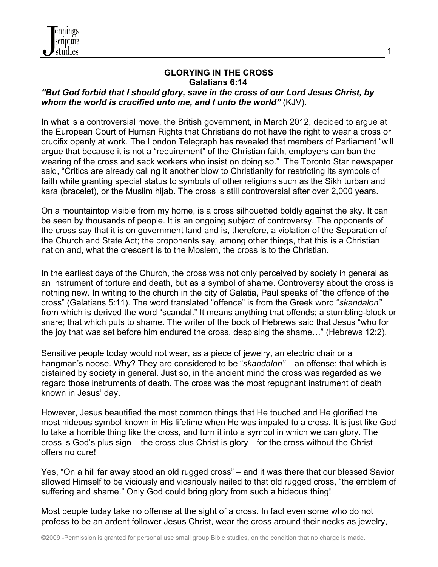

## **GLORYING IN THE CROSS Galatians 6:14**

## *"But God forbid that I should glory, save in the cross of our Lord Jesus Christ, by whom the world is crucified unto me, and I unto the world"* (KJV).

In what is a controversial move, the British government, in March 2012, decided to argue at the European Court of Human Rights that Christians do not have the right to wear a cross or crucifix openly at work. The London Telegraph has revealed that members of Parliament "will argue that because it is not a "requirement" of the Christian faith, employers can ban the wearing of the cross and sack workers who insist on doing so." The Toronto Star newspaper said, "Critics are already calling it another blow to Christianity for restricting its symbols of faith while granting special status to symbols of other religions such as the Sikh turban and kara (bracelet), or the Muslim hijab. The cross is still controversial after over 2,000 years.

On a mountaintop visible from my home, is a cross silhouetted boldly against the sky. It can be seen by thousands of people. It is an ongoing subject of controversy. The opponents of the cross say that it is on government land and is, therefore, a violation of the Separation of the Church and State Act; the proponents say, among other things, that this is a Christian nation and, what the crescent is to the Moslem, the cross is to the Christian.

In the earliest days of the Church, the cross was not only perceived by society in general as an instrument of torture and death, but as a symbol of shame. Controversy about the cross is nothing new. In writing to the church in the city of Galatia, Paul speaks of "the offence of the cross" (Galatians 5:11). The word translated "offence" is from the Greek word "*skandalon"*  from which is derived the word "scandal." It means anything that offends; a stumbling-block or snare; that which puts to shame. The writer of the book of Hebrews said that Jesus "who for the joy that was set before him endured the cross, despising the shame…" (Hebrews 12:2).

Sensitive people today would not wear, as a piece of jewelry, an electric chair or a hangman's noose. Why? They are considered to be "*skandalon"* – an offense; that which is distained by society in general. Just so, in the ancient mind the cross was regarded as we regard those instruments of death. The cross was the most repugnant instrument of death known in Jesus' day.

However, Jesus beautified the most common things that He touched and He glorified the most hideous symbol known in His lifetime when He was impaled to a cross. It is just like God to take a horrible thing like the cross, and turn it into a symbol in which we can glory. The cross is God's plus sign – the cross plus Christ is glory—for the cross without the Christ offers no cure!

Yes, "On a hill far away stood an old rugged cross" – and it was there that our blessed Savior allowed Himself to be viciously and vicariously nailed to that old rugged cross, "the emblem of suffering and shame." Only God could bring glory from such a hideous thing!

Most people today take no offense at the sight of a cross. In fact even some who do not profess to be an ardent follower Jesus Christ, wear the cross around their necks as jewelry,

1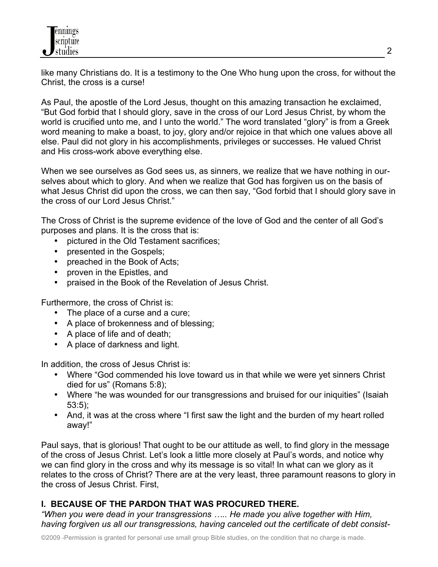like many Christians do. It is a testimony to the One Who hung upon the cross, for without the Christ, the cross is a curse!

As Paul, the apostle of the Lord Jesus, thought on this amazing transaction he exclaimed, "But God forbid that I should glory, save in the cross of our Lord Jesus Christ, by whom the world is crucified unto me, and I unto the world." The word translated "glory" is from a Greek word meaning to make a boast, to joy, glory and/or rejoice in that which one values above all else. Paul did not glory in his accomplishments, privileges or successes. He valued Christ and His cross-work above everything else.

When we see ourselves as God sees us, as sinners, we realize that we have nothing in ourselves about which to glory. And when we realize that God has forgiven us on the basis of what Jesus Christ did upon the cross, we can then say, "God forbid that I should glory save in the cross of our Lord Jesus Christ."

The Cross of Christ is the supreme evidence of the love of God and the center of all God's purposes and plans. It is the cross that is:

- pictured in the Old Testament sacrifices;
- presented in the Gospels;
- preached in the Book of Acts;
- proven in the Epistles, and
- praised in the Book of the Revelation of Jesus Christ.

Furthermore, the cross of Christ is:

- The place of a curse and a cure;
- A place of brokenness and of blessing;
- A place of life and of death;
- A place of darkness and light.

In addition, the cross of Jesus Christ is:

- Where "God commended his love toward us in that while we were yet sinners Christ died for us" (Romans 5:8);
- Where "he was wounded for our transgressions and bruised for our iniquities" (Isaiah 53:5);
- And, it was at the cross where "I first saw the light and the burden of my heart rolled away!"

Paul says, that is glorious! That ought to be our attitude as well, to find glory in the message of the cross of Jesus Christ. Let's look a little more closely at Paul's words, and notice why we can find glory in the cross and why its message is so vital! In what can we glory as it relates to the cross of Christ? There are at the very least, three paramount reasons to glory in the cross of Jesus Christ. First,

# **I. BECAUSE OF THE PARDON THAT WAS PROCURED THERE.**

*"When you were dead in your transgressions ….. He made you alive together with Him, having forgiven us all our transgressions, having canceled out the certificate of debt consist-*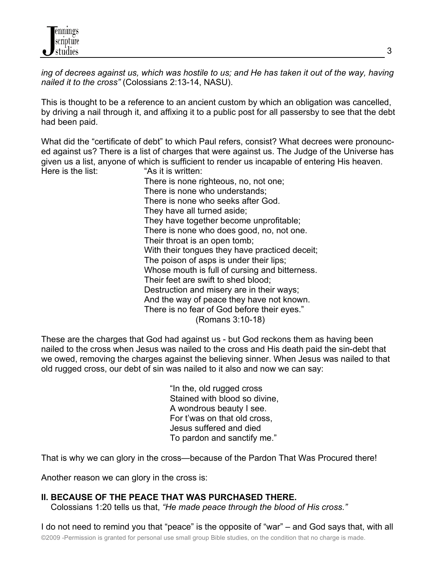*ing of decrees against us, which was hostile to us; and He has taken it out of the way, having nailed it to the cross"* (Colossians 2:13-14, NASU).

This is thought to be a reference to an ancient custom by which an obligation was cancelled, by driving a nail through it, and affixing it to a public post for all passersby to see that the debt had been paid.

What did the "certificate of debt" to which Paul refers, consist? What decrees were pronounced against us? There is a list of charges that were against us. The Judge of the Universe has given us a list, anyone of which is sufficient to render us incapable of entering His heaven. Here is the list: "As it is written:

There is none righteous, no, not one; There is none who understands; There is none who seeks after God. They have all turned aside; They have together become unprofitable; There is none who does good, no, not one. Their throat is an open tomb; With their tongues they have practiced deceit; The poison of asps is under their lips; Whose mouth is full of cursing and bitterness. Their feet are swift to shed blood; Destruction and misery are in their ways; And the way of peace they have not known. There is no fear of God before their eyes." (Romans 3:10-18)

These are the charges that God had against us - but God reckons them as having been nailed to the cross when Jesus was nailed to the cross and His death paid the sin-debt that we owed, removing the charges against the believing sinner. When Jesus was nailed to that old rugged cross, our debt of sin was nailed to it also and now we can say:

> "In the, old rugged cross Stained with blood so divine, A wondrous beauty I see. For t'was on that old cross, Jesus suffered and died To pardon and sanctify me."

That is why we can glory in the cross—because of the Pardon That Was Procured there!

Another reason we can glory in the cross is:

## **II. BECAUSE OF THE PEACE THAT WAS PURCHASED THERE.**

Colossians 1:20 tells us that, *"He made peace through the blood of His cross."* 

©2009 -Permission is granted for personal use small group Bible studies, on the condition that no charge is made. I do not need to remind you that "peace" is the opposite of "war" – and God says that, with all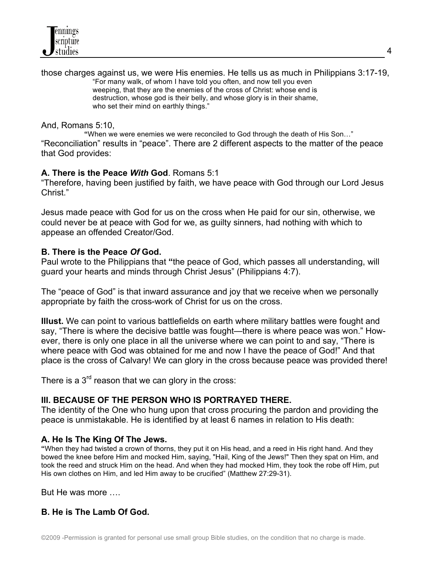

those charges against us, we were His enemies. He tells us as much in Philippians 3:17-19, "For many walk, of whom I have told you often, and now tell you even weeping, that they are the enemies of the cross of Christ: whose end is destruction, whose god is their belly, and whose glory is in their shame, who set their mind on earthly things."

#### And, Romans 5:10,

**"**When we were enemies we were reconciled to God through the death of His Son…" "Reconciliation" results in "peace". There are 2 different aspects to the matter of the peace that God provides:

## **A. There is the Peace** *With* **God**. Romans 5:1

"Therefore, having been justified by faith, we have peace with God through our Lord Jesus Christ<sup>"</sup>

Jesus made peace with God for us on the cross when He paid for our sin, otherwise, we could never be at peace with God for we, as guilty sinners, had nothing with which to appease an offended Creator/God.

#### **B. There is the Peace** *Of* **God.**

Paul wrote to the Philippians that **"**the peace of God, which passes all understanding, will guard your hearts and minds through Christ Jesus" (Philippians 4:7).

The "peace of God" is that inward assurance and joy that we receive when we personally appropriate by faith the cross-work of Christ for us on the cross.

**Illust.** We can point to various battlefields on earth where military battles were fought and say, "There is where the decisive battle was fought—there is where peace was won." However, there is only one place in all the universe where we can point to and say, "There is where peace with God was obtained for me and now I have the peace of God!" And that place is the cross of Calvary! We can glory in the cross because peace was provided there!

There is a  $3<sup>rd</sup>$  reason that we can glory in the cross:

#### **III. BECAUSE OF THE PERSON WHO IS PORTRAYED THERE.**

The identity of the One who hung upon that cross procuring the pardon and providing the peace is unmistakable. He is identified by at least 6 names in relation to His death:

#### **A. He Is The King Of The Jews.**

**"**When they had twisted a crown of thorns, they put it on His head, and a reed in His right hand. And they bowed the knee before Him and mocked Him, saying, "Hail, King of the Jews!" Then they spat on Him, and took the reed and struck Him on the head. And when they had mocked Him, they took the robe off Him, put His own clothes on Him, and led Him away to be crucified" (Matthew 27:29-31).

But He was more ….

## **B. He is The Lamb Of God.**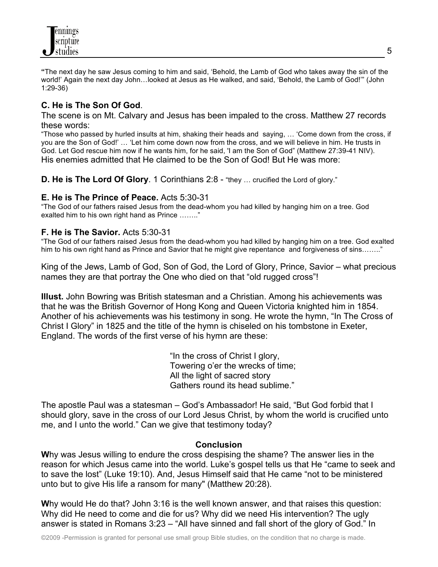

**"**The next day he saw Jesus coming to him and said, 'Behold, the Lamb of God who takes away the sin of the world!' Again the next day John...looked at Jesus as He walked, and said, 'Behold, the Lamb of God!'" (John 1:29-36)

## **C. He is The Son Of God**.

The scene is on Mt. Calvary and Jesus has been impaled to the cross. Matthew 27 records these words:

"Those who passed by hurled insults at him, shaking their heads and saying, … 'Come down from the cross, if you are the Son of God!' … 'Let him come down now from the cross, and we will believe in him. He trusts in God. Let God rescue him now if he wants him, for he said, 'I am the Son of God" (Matthew 27:39-41 NIV). His enemies admitted that He claimed to be the Son of God! But He was more:

**D. He is The Lord Of Glory**. 1 Corinthians 2:8 - "they ... crucified the Lord of glory."

## **E. He is The Prince of Peace.** Acts 5:30-31

"The God of our fathers raised Jesus from the dead-whom you had killed by hanging him on a tree. God exalted him to his own right hand as Prince …….."

## **F. He is The Savior.** Acts 5:30-31

"The God of our fathers raised Jesus from the dead-whom you had killed by hanging him on a tree. God exalted him to his own right hand as Prince and Savior that he might give repentance and forgiveness of sins........"

King of the Jews, Lamb of God, Son of God, the Lord of Glory, Prince, Savior – what precious names they are that portray the One who died on that "old rugged cross"!

**Illust.** John Bowring was British statesman and a Christian. Among his achievements was that he was the British Governor of Hong Kong and Queen Victoria knighted him in 1854. Another of his achievements was his testimony in song. He wrote the hymn, "In The Cross of Christ I Glory" in 1825 and the title of the hymn is chiseled on his tombstone in Exeter, England. The words of the first verse of his hymn are these:

> "In the cross of Christ I glory, Towering o'er the wrecks of time; All the light of sacred story Gathers round its head sublime."

The apostle Paul was a statesman – God's Ambassador! He said, "But God forbid that I should glory, save in the cross of our Lord Jesus Christ, by whom the world is crucified unto me, and I unto the world." Can we give that testimony today?

## **Conclusion**

**W**hy was Jesus willing to endure the cross despising the shame? The answer lies in the reason for which Jesus came into the world. Luke's gospel tells us that He "came to seek and to save the lost" (Luke 19:10). And, Jesus Himself said that He came "not to be ministered unto but to give His life a ransom for many" (Matthew 20:28).

**W**hy would He do that? John 3:16 is the well known answer, and that raises this question: Why did He need to come and die for us? Why did we need His intervention? The ugly answer is stated in Romans 3:23 – "All have sinned and fall short of the glory of God." In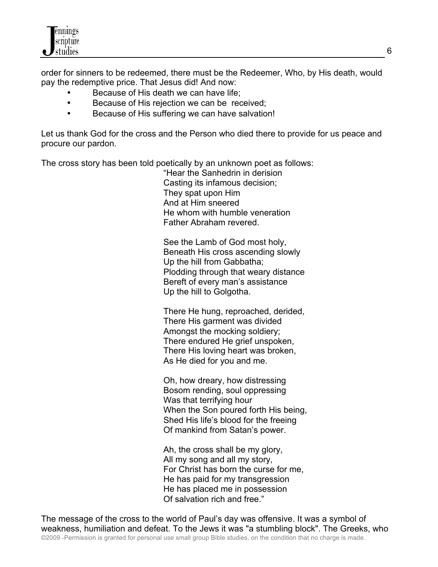order for sinners to be redeemed, there must be the Redeemer, Who, by His death, would pay the redemptive price. That Jesus did! And now:

- Because of His death we can have life;
- Because of His rejection we can be received;
- Because of His suffering we can have salvation!

Let us thank God for the cross and the Person who died there to provide for us peace and procure our pardon.

The cross story has been told poetically by an unknown poet as follows:

"Hear the Sanhedrin in derision Casting its infamous decision; They spat upon Him And at Him sneered He whom with humble veneration Father Abraham revered.

See the Lamb of God most holy, Beneath His cross ascending slowly Up the hill from Gabbatha; Plodding through that weary distance Bereft of every man's assistance Up the hill to Golgotha.

There He hung, reproached, derided, There His garment was divided Amongst the mocking soldiery; There endured He grief unspoken, There His loving heart was broken, As He died for you and me.

Oh, how dreary, how distressing Bosom rending, soul oppressing Was that terrifying hour When the Son poured forth His being, Shed His life's blood for the freeing Of mankind from Satan's power.

Ah, the cross shall be my glory, All my song and all my story, For Christ has born the curse for me, He has paid for my transgression He has placed me in possession Of salvation rich and free."